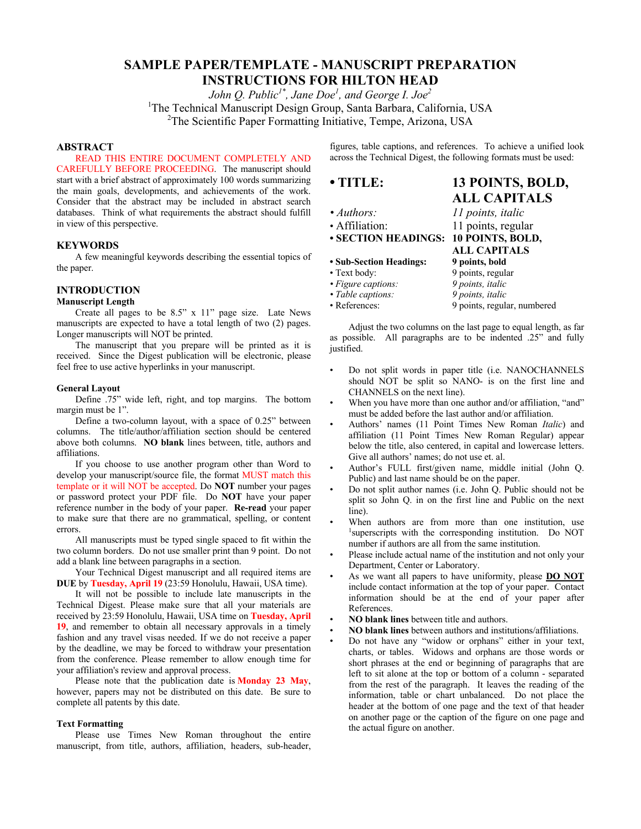# **SAMPLE PAPER/TEMPLATE - MANUSCRIPT PREPARATION INSTRUCTIONS FOR HILTON HEAD**

*John Q. Public1\* , Jane Doe1 , and George I. Joe2*

<sup>1</sup>The Technical Manuscript Design Group, Santa Barbara, California, USA

<sup>2</sup>The Scientific Paper Formatting Initiative, Tempe, Arizona, USA

# **ABSTRACT**

READ THIS ENTIRE DOCUMENT COMPLETELY AND CAREFULLY BEFORE PROCEEDING. The manuscript should start with a brief abstract of approximately 100 words summarizing the main goals, developments, and achievements of the work. Consider that the abstract may be included in abstract search databases. Think of what requirements the abstract should fulfill in view of this perspective.

# **KEYWORDS**

A few meaningful keywords describing the essential topics of the paper.

# **INTRODUCTION**

### **Manuscript Length**

Create all pages to be 8.5" x 11" page size. Late News manuscripts are expected to have a total length of two (2) pages. Longer manuscripts will NOT be printed.

The manuscript that you prepare will be printed as it is received. Since the Digest publication will be electronic, please feel free to use active hyperlinks in your manuscript.

#### **General Layout**

Define .75" wide left, right, and top margins. The bottom margin must be 1".

Define a two-column layout, with a space of 0.25" between columns. The title/author/affiliation section should be centered above both columns. **NO blank** lines between, title, authors and affiliations.

If you choose to use another program other than Word to develop your manuscript/source file, the format MUST match this template or it will NOT be accepted. Do **NOT** number your pages or password protect your PDF file.Do **NOT** have your paper reference number in the body of your paper. **Re-read** your paper to make sure that there are no grammatical, spelling, or content errors.

All manuscripts must be typed single spaced to fit within the two column borders. Do not use smaller print than 9 point. Do not add a blank line between paragraphs in a section.

Your Technical Digest manuscript and all required items are **DUE** by **Tuesday, April 19** (23:59 Honolulu, Hawaii, USA time).

It will not be possible to include late manuscripts in the Technical Digest. Please make sure that all your materials are received by 23:59 Honolulu, Hawaii, USA time on **Tuesday, April 19**, and remember to obtain all necessary approvals in a timely fashion and any travel visas needed. If we do not receive a paper by the deadline, we may be forced to withdraw your presentation from the conference. Please remember to allow enough time for your affiliation's review and approval process.

Please note that the publication date is **Monday 23 May**, however, papers may not be distributed on this date. Be sure to complete all patents by this date.

## **Text Formatting**

Please use Times New Roman throughout the entire manuscript, from title, authors, affiliation, headers, sub-header, figures, table captions, and references. To achieve a unified look across the Technical Digest, the following formats must be used:

# **• TITLE: 13 POINTS, BOLD,**

- 
- 
- **SECTION HEADINGS: 10 POINTS, BOLD,**
- **Sub-Section Headings: 9 points, bold**
- 
- 
- Table captions:
- 

• Text body: 9 points, regular *• Figure captions: 9 points, italic*

• References: 9 points, regular, numbered

Adjust the two columns on the last page to equal length, as far as possible. All paragraphs are to be indented .25" and fully justified.

- Do not split words in paper title (i.e. NANOCHANNELS should NOT be split so NANO- is on the first line and CHANNELS on the next line).
- When you have more than one author and/or affiliation, "and" must be added before the last author and/or affiliation.
- Authors' names (11 Point Times New Roman *Italic*) and affiliation (11 Point Times New Roman Regular) appear below the title, also centered, in capital and lowercase letters. Give all authors' names; do not use et. al.
- Author's FULL first/given name, middle initial (John Q. Public) and last name should be on the paper.
- Do not split author names (i.e. John Q. Public should not be split so John Q. in on the first line and Public on the next line).
- When authors are from more than one institution, use 1 superscripts with the corresponding institution. Do NOT number if authors are all from the same institution.
- Please include actual name of the institution and not only your Department, Center or Laboratory.
- As we want all papers to have uniformity, please **DO NOT** include contact information at the top of your paper. Contact information should be at the end of your paper after References.
- **NO blank lines** between title and authors.
- **NO blank lines** between authors and institutions/affiliations.
- Do not have any "widow or orphans" either in your text, charts, or tables. Widows and orphans are those words or short phrases at the end or beginning of paragraphs that are left to sit alone at the top or bottom of a column - separated from the rest of the paragraph. It leaves the reading of the information, table or chart unbalanced. Do not place the header at the bottom of one page and the text of that header on another page or the caption of the figure on one page and the actual figure on another.

*• Authors: 11 points, italic* • Affiliation: 11 points, regular **ALL CAPITALS**

**ALL CAPITALS**